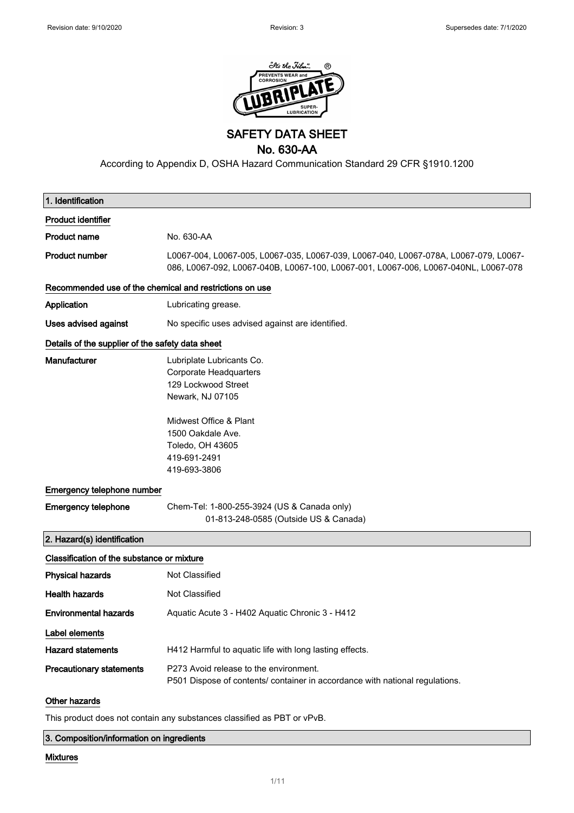

SAFETY DATA SHEET

### No. 630-AA

According to Appendix D, OSHA Hazard Communication Standard 29 CFR §1910.1200

| 1. Identification                                       |                                                                                                                                                                             |
|---------------------------------------------------------|-----------------------------------------------------------------------------------------------------------------------------------------------------------------------------|
| <b>Product identifier</b>                               |                                                                                                                                                                             |
| <b>Product name</b>                                     | No. 630-AA                                                                                                                                                                  |
| <b>Product number</b>                                   | L0067-004, L0067-005, L0067-035, L0067-039, L0067-040, L0067-078A, L0067-079, L0067-<br>086, L0067-092, L0067-040B, L0067-100, L0067-001, L0067-006, L0067-040NL, L0067-078 |
| Recommended use of the chemical and restrictions on use |                                                                                                                                                                             |
| Application                                             | Lubricating grease.                                                                                                                                                         |
| <b>Uses advised against</b>                             | No specific uses advised against are identified.                                                                                                                            |
| Details of the supplier of the safety data sheet        |                                                                                                                                                                             |
| Manufacturer                                            | Lubriplate Lubricants Co.<br>Corporate Headquarters<br>129 Lockwood Street<br>Newark, NJ 07105                                                                              |
|                                                         | Midwest Office & Plant<br>1500 Oakdale Ave.<br>Toledo, OH 43605<br>419-691-2491<br>419-693-3806                                                                             |
| Emergency telephone number                              |                                                                                                                                                                             |
| <b>Emergency telephone</b>                              | Chem-Tel: 1-800-255-3924 (US & Canada only)<br>01-813-248-0585 (Outside US & Canada)                                                                                        |
| 2. Hazard(s) identification                             |                                                                                                                                                                             |
| Classification of the substance or mixture              |                                                                                                                                                                             |
| <b>Physical hazards</b>                                 | <b>Not Classified</b>                                                                                                                                                       |
| <b>Health hazards</b>                                   | Not Classified                                                                                                                                                              |
| <b>Environmental hazards</b>                            | Aquatic Acute 3 - H402 Aquatic Chronic 3 - H412                                                                                                                             |
| Label elements                                          |                                                                                                                                                                             |
| <b>Hazard statements</b>                                | H412 Harmful to aquatic life with long lasting effects.                                                                                                                     |
| <b>Precautionary statements</b>                         | P273 Avoid release to the environment.<br>P501 Dispose of contents/ container in accordance with national regulations.                                                      |
| Other hazards                                           |                                                                                                                                                                             |

This product does not contain any substances classified as PBT or vPvB.

#### 3. Composition/information on ingredients

### Mixtures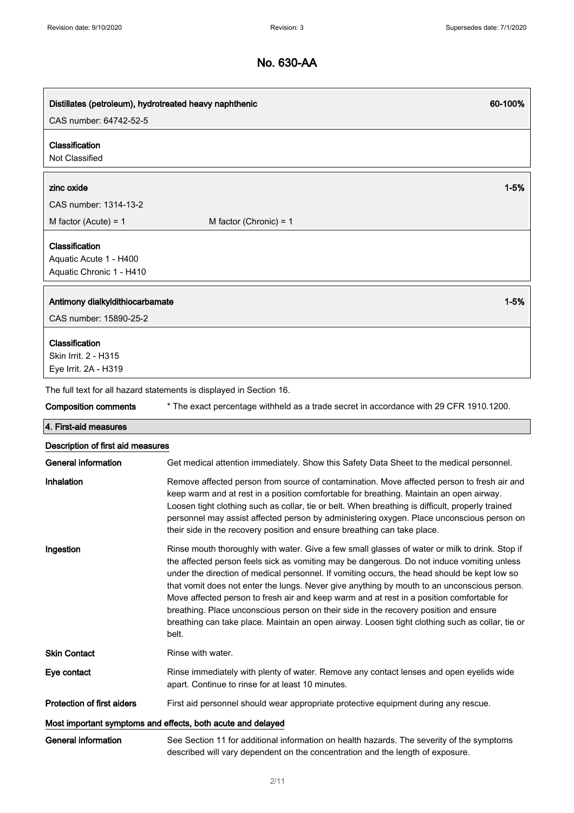| Distillates (petroleum), hydrotreated heavy naphthenic<br>CAS number: 64742-52-5 | 60-100%                                                                                                                                                                                                                                                                                                                                                                                                                                                                                                                                                                                                                                                                                       |
|----------------------------------------------------------------------------------|-----------------------------------------------------------------------------------------------------------------------------------------------------------------------------------------------------------------------------------------------------------------------------------------------------------------------------------------------------------------------------------------------------------------------------------------------------------------------------------------------------------------------------------------------------------------------------------------------------------------------------------------------------------------------------------------------|
| Classification<br>Not Classified                                                 |                                                                                                                                                                                                                                                                                                                                                                                                                                                                                                                                                                                                                                                                                               |
| zinc oxide                                                                       | $1 - 5%$                                                                                                                                                                                                                                                                                                                                                                                                                                                                                                                                                                                                                                                                                      |
| CAS number: 1314-13-2                                                            |                                                                                                                                                                                                                                                                                                                                                                                                                                                                                                                                                                                                                                                                                               |
| M factor (Acute) = $1$                                                           | M factor (Chronic) = $1$                                                                                                                                                                                                                                                                                                                                                                                                                                                                                                                                                                                                                                                                      |
| Classification<br>Aquatic Acute 1 - H400<br>Aquatic Chronic 1 - H410             |                                                                                                                                                                                                                                                                                                                                                                                                                                                                                                                                                                                                                                                                                               |
| Antimony dialkyldithiocarbamate<br>CAS number: 15890-25-2                        | $1 - 5%$                                                                                                                                                                                                                                                                                                                                                                                                                                                                                                                                                                                                                                                                                      |
| Classification<br>Skin Irrit. 2 - H315<br>Eye Irrit. 2A - H319                   |                                                                                                                                                                                                                                                                                                                                                                                                                                                                                                                                                                                                                                                                                               |
|                                                                                  | The full text for all hazard statements is displayed in Section 16.                                                                                                                                                                                                                                                                                                                                                                                                                                                                                                                                                                                                                           |
| <b>Composition comments</b>                                                      | * The exact percentage withheld as a trade secret in accordance with 29 CFR 1910.1200.                                                                                                                                                                                                                                                                                                                                                                                                                                                                                                                                                                                                        |
| 4. First-aid measures                                                            |                                                                                                                                                                                                                                                                                                                                                                                                                                                                                                                                                                                                                                                                                               |
| Description of first aid measures                                                |                                                                                                                                                                                                                                                                                                                                                                                                                                                                                                                                                                                                                                                                                               |
| General information                                                              | Get medical attention immediately. Show this Safety Data Sheet to the medical personnel.                                                                                                                                                                                                                                                                                                                                                                                                                                                                                                                                                                                                      |
| Inhalation                                                                       | Remove affected person from source of contamination. Move affected person to fresh air and<br>keep warm and at rest in a position comfortable for breathing. Maintain an open airway.<br>Loosen tight clothing such as collar, tie or belt. When breathing is difficult, properly trained<br>personnel may assist affected person by administering oxygen. Place unconscious person on<br>their side in the recovery position and ensure breathing can take place.                                                                                                                                                                                                                            |
| Ingestion                                                                        | Rinse mouth thoroughly with water. Give a few small glasses of water or milk to drink. Stop if<br>the affected person feels sick as vomiting may be dangerous. Do not induce vomiting unless<br>under the direction of medical personnel. If vomiting occurs, the head should be kept low so<br>that vomit does not enter the lungs. Never give anything by mouth to an unconscious person.<br>Move affected person to fresh air and keep warm and at rest in a position comfortable for<br>breathing. Place unconscious person on their side in the recovery position and ensure<br>breathing can take place. Maintain an open airway. Loosen tight clothing such as collar, tie or<br>belt. |
| <b>Skin Contact</b>                                                              | Rinse with water.                                                                                                                                                                                                                                                                                                                                                                                                                                                                                                                                                                                                                                                                             |
| Eye contact                                                                      | Rinse immediately with plenty of water. Remove any contact lenses and open eyelids wide<br>apart. Continue to rinse for at least 10 minutes.                                                                                                                                                                                                                                                                                                                                                                                                                                                                                                                                                  |
| <b>Protection of first aiders</b>                                                | First aid personnel should wear appropriate protective equipment during any rescue.                                                                                                                                                                                                                                                                                                                                                                                                                                                                                                                                                                                                           |
|                                                                                  | Most important symptoms and effects, both acute and delayed                                                                                                                                                                                                                                                                                                                                                                                                                                                                                                                                                                                                                                   |
| <b>General information</b>                                                       | See Section 11 for additional information on health hazards. The severity of the symptoms<br>described will vary dependent on the concentration and the length of exposure.                                                                                                                                                                                                                                                                                                                                                                                                                                                                                                                   |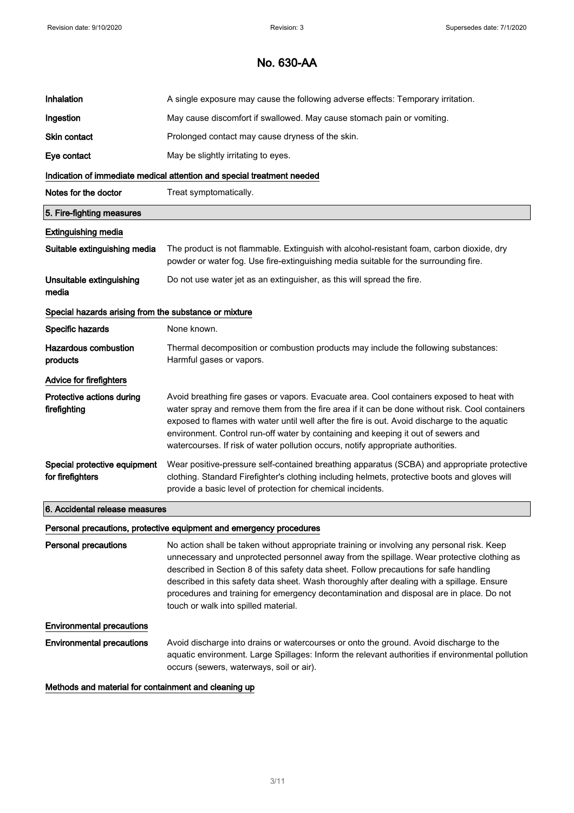| Inhalation                                            | A single exposure may cause the following adverse effects: Temporary irritation.                                                                                                                                                                                                                                                                                                                                                                                                                                   |
|-------------------------------------------------------|--------------------------------------------------------------------------------------------------------------------------------------------------------------------------------------------------------------------------------------------------------------------------------------------------------------------------------------------------------------------------------------------------------------------------------------------------------------------------------------------------------------------|
| Ingestion                                             | May cause discomfort if swallowed. May cause stomach pain or vomiting.                                                                                                                                                                                                                                                                                                                                                                                                                                             |
| <b>Skin contact</b>                                   | Prolonged contact may cause dryness of the skin.                                                                                                                                                                                                                                                                                                                                                                                                                                                                   |
| Eye contact                                           | May be slightly irritating to eyes.                                                                                                                                                                                                                                                                                                                                                                                                                                                                                |
|                                                       | Indication of immediate medical attention and special treatment needed                                                                                                                                                                                                                                                                                                                                                                                                                                             |
| Notes for the doctor                                  | Treat symptomatically.                                                                                                                                                                                                                                                                                                                                                                                                                                                                                             |
| 5. Fire-fighting measures                             |                                                                                                                                                                                                                                                                                                                                                                                                                                                                                                                    |
| <b>Extinguishing media</b>                            |                                                                                                                                                                                                                                                                                                                                                                                                                                                                                                                    |
| Suitable extinguishing media                          | The product is not flammable. Extinguish with alcohol-resistant foam, carbon dioxide, dry<br>powder or water fog. Use fire-extinguishing media suitable for the surrounding fire.                                                                                                                                                                                                                                                                                                                                  |
| Unsuitable extinguishing<br>media                     | Do not use water jet as an extinguisher, as this will spread the fire.                                                                                                                                                                                                                                                                                                                                                                                                                                             |
| Special hazards arising from the substance or mixture |                                                                                                                                                                                                                                                                                                                                                                                                                                                                                                                    |
| Specific hazards                                      | None known.                                                                                                                                                                                                                                                                                                                                                                                                                                                                                                        |
| <b>Hazardous combustion</b><br>products               | Thermal decomposition or combustion products may include the following substances:<br>Harmful gases or vapors.                                                                                                                                                                                                                                                                                                                                                                                                     |
| Advice for firefighters                               |                                                                                                                                                                                                                                                                                                                                                                                                                                                                                                                    |
| Protective actions during<br>firefighting             | Avoid breathing fire gases or vapors. Evacuate area. Cool containers exposed to heat with<br>water spray and remove them from the fire area if it can be done without risk. Cool containers<br>exposed to flames with water until well after the fire is out. Avoid discharge to the aquatic<br>environment. Control run-off water by containing and keeping it out of sewers and<br>watercourses. If risk of water pollution occurs, notify appropriate authorities.                                              |
| Special protective equipment<br>for firefighters      | Wear positive-pressure self-contained breathing apparatus (SCBA) and appropriate protective<br>clothing. Standard Firefighter's clothing including helmets, protective boots and gloves will<br>provide a basic level of protection for chemical incidents.                                                                                                                                                                                                                                                        |
| 6. Accidental release measures                        |                                                                                                                                                                                                                                                                                                                                                                                                                                                                                                                    |
|                                                       | Personal precautions, protective equipment and emergency procedures                                                                                                                                                                                                                                                                                                                                                                                                                                                |
| Personal precautions                                  | No action shall be taken without appropriate training or involving any personal risk. Keep<br>unnecessary and unprotected personnel away from the spillage. Wear protective clothing as<br>described in Section 8 of this safety data sheet. Follow precautions for safe handling<br>described in this safety data sheet. Wash thoroughly after dealing with a spillage. Ensure<br>procedures and training for emergency decontamination and disposal are in place. Do not<br>touch or walk into spilled material. |
| <b>Environmental precautions</b>                      |                                                                                                                                                                                                                                                                                                                                                                                                                                                                                                                    |
| <b>Environmental precautions</b>                      | Avoid discharge into drains or watercourses or onto the ground. Avoid discharge to the<br>aquatic environment. Large Spillages: Inform the relevant authorities if environmental pollution<br>occurs (sewers, waterways, soil or air).                                                                                                                                                                                                                                                                             |

#### Methods and material for containment and cleaning up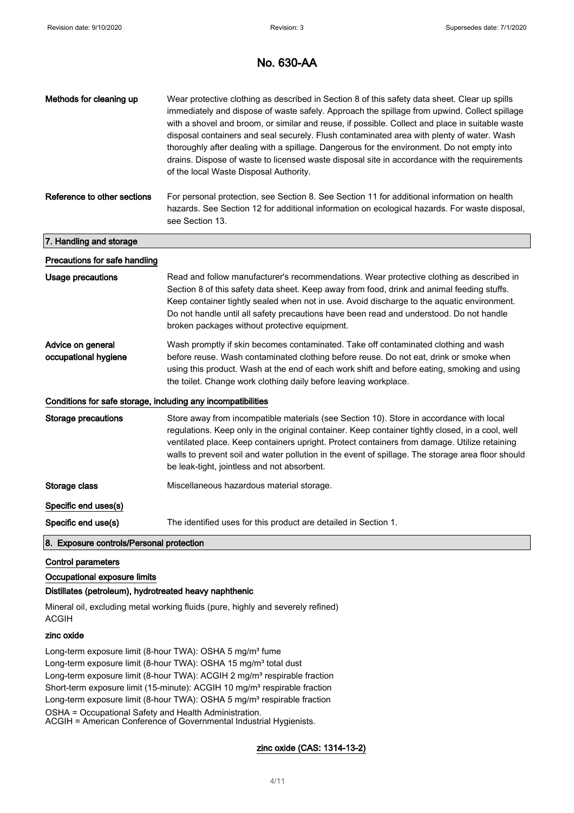| Methods for cleaning up                                      | Wear protective clothing as described in Section 8 of this safety data sheet. Clear up spills<br>immediately and dispose of waste safely. Approach the spillage from upwind. Collect spillage<br>with a shovel and broom, or similar and reuse, if possible. Collect and place in suitable waste<br>disposal containers and seal securely. Flush contaminated area with plenty of water. Wash<br>thoroughly after dealing with a spillage. Dangerous for the environment. Do not empty into<br>drains. Dispose of waste to licensed waste disposal site in accordance with the requirements<br>of the local Waste Disposal Authority. |
|--------------------------------------------------------------|---------------------------------------------------------------------------------------------------------------------------------------------------------------------------------------------------------------------------------------------------------------------------------------------------------------------------------------------------------------------------------------------------------------------------------------------------------------------------------------------------------------------------------------------------------------------------------------------------------------------------------------|
| Reference to other sections                                  | For personal protection, see Section 8. See Section 11 for additional information on health<br>hazards. See Section 12 for additional information on ecological hazards. For waste disposal,<br>see Section 13.                                                                                                                                                                                                                                                                                                                                                                                                                       |
| 7. Handling and storage                                      |                                                                                                                                                                                                                                                                                                                                                                                                                                                                                                                                                                                                                                       |
| Precautions for safe handling                                |                                                                                                                                                                                                                                                                                                                                                                                                                                                                                                                                                                                                                                       |
| Usage precautions                                            | Read and follow manufacturer's recommendations. Wear protective clothing as described in<br>Section 8 of this safety data sheet. Keep away from food, drink and animal feeding stuffs.<br>Keep container tightly sealed when not in use. Avoid discharge to the aquatic environment.<br>Do not handle until all safety precautions have been read and understood. Do not handle<br>broken packages without protective equipment.                                                                                                                                                                                                      |
| Advice on general<br>occupational hygiene                    | Wash promptly if skin becomes contaminated. Take off contaminated clothing and wash<br>before reuse. Wash contaminated clothing before reuse. Do not eat, drink or smoke when<br>using this product. Wash at the end of each work shift and before eating, smoking and using<br>the toilet. Change work clothing daily before leaving workplace.                                                                                                                                                                                                                                                                                      |
| Conditions for safe storage, including any incompatibilities |                                                                                                                                                                                                                                                                                                                                                                                                                                                                                                                                                                                                                                       |
| <b>Storage precautions</b>                                   | Store away from incompatible materials (see Section 10). Store in accordance with local<br>regulations. Keep only in the original container. Keep container tightly closed, in a cool, well<br>ventilated place. Keep containers upright. Protect containers from damage. Utilize retaining<br>walls to prevent soil and water pollution in the event of spillage. The storage area floor should<br>be leak-tight, jointless and not absorbent.                                                                                                                                                                                       |
| Storage class                                                | Miscellaneous hazardous material storage.                                                                                                                                                                                                                                                                                                                                                                                                                                                                                                                                                                                             |
| Specific end uses(s)                                         |                                                                                                                                                                                                                                                                                                                                                                                                                                                                                                                                                                                                                                       |
| Specific end use(s)                                          | The identified uses for this product are detailed in Section 1.                                                                                                                                                                                                                                                                                                                                                                                                                                                                                                                                                                       |
| 8. Exposure controls/Personal protection                     |                                                                                                                                                                                                                                                                                                                                                                                                                                                                                                                                                                                                                                       |

#### Control parameters

Occupational exposure limits

#### Distillates (petroleum), hydrotreated heavy naphthenic

Mineral oil, excluding metal working fluids (pure, highly and severely refined) ACGIH

#### zinc oxide

Long-term exposure limit (8-hour TWA): OSHA 5 mg/m<sup>3</sup> fume Long-term exposure limit (8-hour TWA): OSHA 15 mg/m<sup>3</sup> total dust Long-term exposure limit (8-hour TWA): ACGIH 2 mg/m<sup>3</sup> respirable fraction Short-term exposure limit (15-minute): ACGIH 10 mg/m<sup>3</sup> respirable fraction Long-term exposure limit (8-hour TWA): OSHA 5 mg/m<sup>3</sup> respirable fraction OSHA = Occupational Safety and Health Administration. ACGIH = American Conference of Governmental Industrial Hygienists.

#### zinc oxide (CAS: 1314-13-2)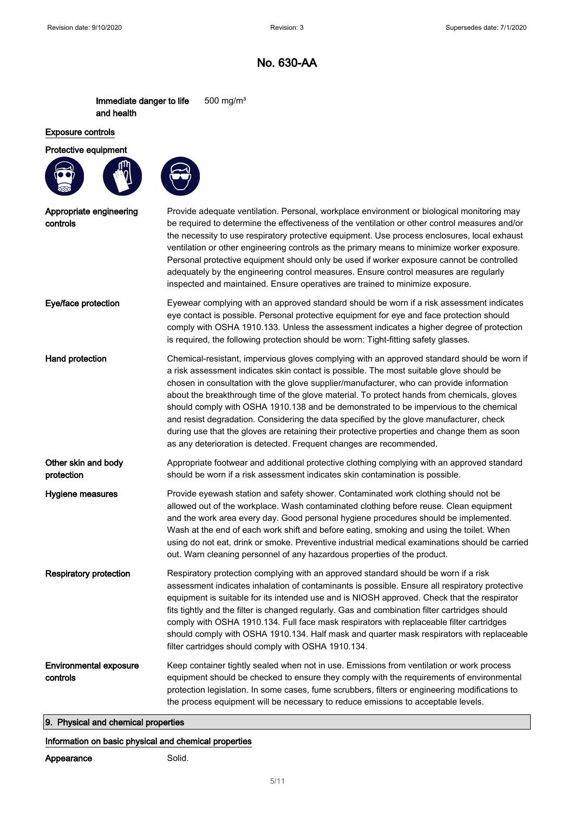Immediate danger to life and health 500 mg/m³

#### Exposure controls

### Protective equipment





| Appropriate engineering<br>controls       | Provide adequate ventilation. Personal, workplace environment or biological monitoring may<br>be required to determine the effectiveness of the ventilation or other control measures and/or<br>the necessity to use respiratory protective equipment. Use process enclosures, local exhaust<br>ventilation or other engineering controls as the primary means to minimize worker exposure.<br>Personal protective equipment should only be used if worker exposure cannot be controlled<br>adequately by the engineering control measures. Ensure control measures are regularly<br>inspected and maintained. Ensure operatives are trained to minimize exposure.                                                                          |
|-------------------------------------------|---------------------------------------------------------------------------------------------------------------------------------------------------------------------------------------------------------------------------------------------------------------------------------------------------------------------------------------------------------------------------------------------------------------------------------------------------------------------------------------------------------------------------------------------------------------------------------------------------------------------------------------------------------------------------------------------------------------------------------------------|
| Eye/face protection                       | Eyewear complying with an approved standard should be worn if a risk assessment indicates<br>eye contact is possible. Personal protective equipment for eye and face protection should<br>comply with OSHA 1910.133. Unless the assessment indicates a higher degree of protection<br>is required, the following protection should be worn: Tight-fitting safety glasses.                                                                                                                                                                                                                                                                                                                                                                   |
| Hand protection                           | Chemical-resistant, impervious gloves complying with an approved standard should be worn if<br>a risk assessment indicates skin contact is possible. The most suitable glove should be<br>chosen in consultation with the glove supplier/manufacturer, who can provide information<br>about the breakthrough time of the glove material. To protect hands from chemicals, gloves<br>should comply with OSHA 1910.138 and be demonstrated to be impervious to the chemical<br>and resist degradation. Considering the data specified by the glove manufacturer, check<br>during use that the gloves are retaining their protective properties and change them as soon<br>as any deterioration is detected. Frequent changes are recommended. |
| Other skin and body<br>protection         | Appropriate footwear and additional protective clothing complying with an approved standard<br>should be worn if a risk assessment indicates skin contamination is possible.                                                                                                                                                                                                                                                                                                                                                                                                                                                                                                                                                                |
| Hygiene measures                          | Provide eyewash station and safety shower. Contaminated work clothing should not be<br>allowed out of the workplace. Wash contaminated clothing before reuse. Clean equipment<br>and the work area every day. Good personal hygiene procedures should be implemented.<br>Wash at the end of each work shift and before eating, smoking and using the toilet. When<br>using do not eat, drink or smoke. Preventive industrial medical examinations should be carried<br>out. Warn cleaning personnel of any hazardous properties of the product.                                                                                                                                                                                             |
| <b>Respiratory protection</b>             | Respiratory protection complying with an approved standard should be worn if a risk<br>assessment indicates inhalation of contaminants is possible. Ensure all respiratory protective<br>equipment is suitable for its intended use and is NIOSH approved. Check that the respirator<br>fits tightly and the filter is changed regularly. Gas and combination filter cartridges should<br>comply with OSHA 1910.134. Full face mask respirators with replaceable filter cartridges<br>should comply with OSHA 1910.134. Half mask and quarter mask respirators with replaceable<br>filter cartridges should comply with OSHA 1910.134.                                                                                                      |
| <b>Environmental exposure</b><br>controls | Keep container tightly sealed when not in use. Emissions from ventilation or work process<br>equipment should be checked to ensure they comply with the requirements of environmental<br>protection legislation. In some cases, fume scrubbers, filters or engineering modifications to<br>the process equipment will be necessary to reduce emissions to acceptable levels.                                                                                                                                                                                                                                                                                                                                                                |

## 9. Physical and chemical properties

### Information on basic physical and chemical properties

### Appearance Solid.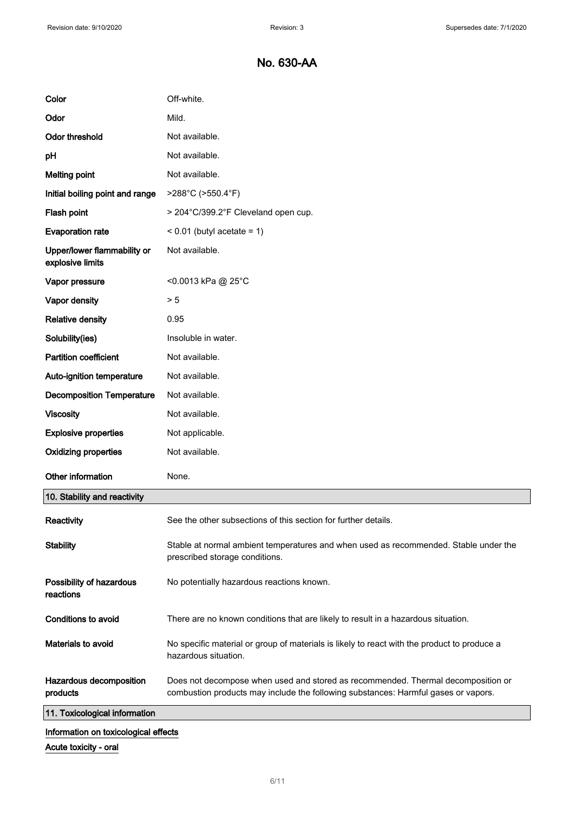| Color                                           | Off-white.                                                                                                                                                             |
|-------------------------------------------------|------------------------------------------------------------------------------------------------------------------------------------------------------------------------|
| Odor                                            | Mild.                                                                                                                                                                  |
| <b>Odor threshold</b>                           | Not available.                                                                                                                                                         |
| pH                                              | Not available.                                                                                                                                                         |
| <b>Melting point</b>                            | Not available.                                                                                                                                                         |
| Initial boiling point and range                 | >288°C (>550.4°F)                                                                                                                                                      |
| Flash point                                     | > 204°C/399.2°F Cleveland open cup.                                                                                                                                    |
| <b>Evaporation rate</b>                         | $< 0.01$ (butyl acetate = 1)                                                                                                                                           |
| Upper/lower flammability or<br>explosive limits | Not available.                                                                                                                                                         |
| Vapor pressure                                  | <0.0013 kPa @ 25°C                                                                                                                                                     |
| Vapor density                                   | > 5                                                                                                                                                                    |
| <b>Relative density</b>                         | 0.95                                                                                                                                                                   |
| Solubility(ies)                                 | Insoluble in water.                                                                                                                                                    |
| <b>Partition coefficient</b>                    | Not available.                                                                                                                                                         |
| Auto-ignition temperature                       | Not available.                                                                                                                                                         |
| <b>Decomposition Temperature</b>                | Not available.                                                                                                                                                         |
| <b>Viscosity</b>                                | Not available.                                                                                                                                                         |
| <b>Explosive properties</b>                     | Not applicable.                                                                                                                                                        |
| <b>Oxidizing properties</b>                     | Not available.                                                                                                                                                         |
| Other information                               | None.                                                                                                                                                                  |
| 10. Stability and reactivity                    |                                                                                                                                                                        |
| Reactivity                                      | See the other subsections of this section for further details.                                                                                                         |
| <b>Stability</b>                                | Stable at normal ambient temperatures and when used as recommended. Stable under the<br>prescribed storage conditions.                                                 |
| Possibility of hazardous<br>reactions           | No potentially hazardous reactions known.                                                                                                                              |
| Conditions to avoid                             | There are no known conditions that are likely to result in a hazardous situation.                                                                                      |
| Materials to avoid                              | No specific material or group of materials is likely to react with the product to produce a<br>hazardous situation.                                                    |
| Hazardous decomposition<br>products             | Does not decompose when used and stored as recommended. Thermal decomposition or<br>combustion products may include the following substances: Harmful gases or vapors. |
| 11. Toxicological information                   |                                                                                                                                                                        |
| Information on toxicological effects            |                                                                                                                                                                        |

Acute toxicity - oral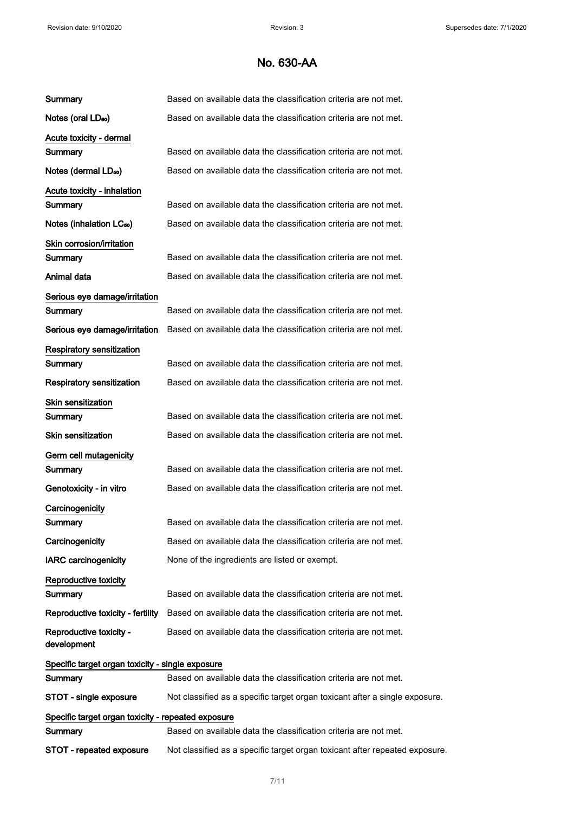| Summary                                            | Based on available data the classification criteria are not met.            |
|----------------------------------------------------|-----------------------------------------------------------------------------|
| Notes (oral LD <sub>50</sub> )                     | Based on available data the classification criteria are not met.            |
| Acute toxicity - dermal                            |                                                                             |
| Summary                                            | Based on available data the classification criteria are not met.            |
| Notes (dermal LD <sub>50</sub> )                   | Based on available data the classification criteria are not met.            |
| Acute toxicity - inhalation                        |                                                                             |
| Summary                                            | Based on available data the classification criteria are not met.            |
| Notes (inhalation LC <sub>50</sub> )               | Based on available data the classification criteria are not met.            |
| Skin corrosion/irritation                          |                                                                             |
| Summary                                            | Based on available data the classification criteria are not met.            |
| Animal data                                        | Based on available data the classification criteria are not met.            |
| Serious eye damage/irritation                      |                                                                             |
| Summary                                            | Based on available data the classification criteria are not met.            |
| Serious eye damage/irritation                      | Based on available data the classification criteria are not met.            |
| <b>Respiratory sensitization</b>                   |                                                                             |
| Summary                                            | Based on available data the classification criteria are not met.            |
| Respiratory sensitization                          | Based on available data the classification criteria are not met.            |
| Skin sensitization                                 |                                                                             |
| Summary                                            | Based on available data the classification criteria are not met.            |
| <b>Skin sensitization</b>                          | Based on available data the classification criteria are not met.            |
| Germ cell mutagenicity                             |                                                                             |
| Summary                                            | Based on available data the classification criteria are not met.            |
| Genotoxicity - in vitro                            | Based on available data the classification criteria are not met.            |
| Carcinogenicity                                    |                                                                             |
| Summary                                            | Based on available data the classification criteria are not met.            |
| Carcinogenicity                                    | Based on available data the classification criteria are not met.            |
| <b>IARC</b> carcinogenicity                        | None of the ingredients are listed or exempt.                               |
| Reproductive toxicity                              |                                                                             |
| Summary                                            | Based on available data the classification criteria are not met.            |
| Reproductive toxicity - fertility                  | Based on available data the classification criteria are not met.            |
| Reproductive toxicity -<br>development             | Based on available data the classification criteria are not met.            |
| Specific target organ toxicity - single exposure   |                                                                             |
| Summary                                            | Based on available data the classification criteria are not met.            |
| STOT - single exposure                             | Not classified as a specific target organ toxicant after a single exposure. |
| Specific target organ toxicity - repeated exposure |                                                                             |
| Summary                                            | Based on available data the classification criteria are not met.            |
| STOT - repeated exposure                           | Not classified as a specific target organ toxicant after repeated exposure. |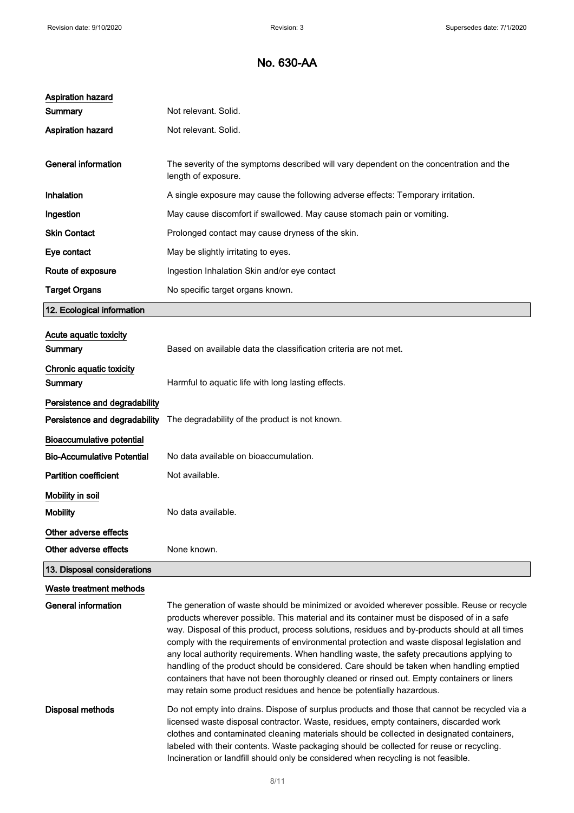| Aspiration hazard                 |                                                                                                                                                                                                                                                                                                                                                                                                                                                                                                                                                                                                                                                                                                                                                         |
|-----------------------------------|---------------------------------------------------------------------------------------------------------------------------------------------------------------------------------------------------------------------------------------------------------------------------------------------------------------------------------------------------------------------------------------------------------------------------------------------------------------------------------------------------------------------------------------------------------------------------------------------------------------------------------------------------------------------------------------------------------------------------------------------------------|
| Summary                           | Not relevant. Solid.                                                                                                                                                                                                                                                                                                                                                                                                                                                                                                                                                                                                                                                                                                                                    |
| <b>Aspiration hazard</b>          | Not relevant. Solid.                                                                                                                                                                                                                                                                                                                                                                                                                                                                                                                                                                                                                                                                                                                                    |
|                                   |                                                                                                                                                                                                                                                                                                                                                                                                                                                                                                                                                                                                                                                                                                                                                         |
| <b>General information</b>        | The severity of the symptoms described will vary dependent on the concentration and the<br>length of exposure.                                                                                                                                                                                                                                                                                                                                                                                                                                                                                                                                                                                                                                          |
| Inhalation                        | A single exposure may cause the following adverse effects: Temporary irritation.                                                                                                                                                                                                                                                                                                                                                                                                                                                                                                                                                                                                                                                                        |
| Ingestion                         | May cause discomfort if swallowed. May cause stomach pain or vomiting.                                                                                                                                                                                                                                                                                                                                                                                                                                                                                                                                                                                                                                                                                  |
| <b>Skin Contact</b>               | Prolonged contact may cause dryness of the skin.                                                                                                                                                                                                                                                                                                                                                                                                                                                                                                                                                                                                                                                                                                        |
| Eye contact                       | May be slightly irritating to eyes.                                                                                                                                                                                                                                                                                                                                                                                                                                                                                                                                                                                                                                                                                                                     |
| Route of exposure                 | Ingestion Inhalation Skin and/or eye contact                                                                                                                                                                                                                                                                                                                                                                                                                                                                                                                                                                                                                                                                                                            |
| <b>Target Organs</b>              | No specific target organs known.                                                                                                                                                                                                                                                                                                                                                                                                                                                                                                                                                                                                                                                                                                                        |
| 12. Ecological information        |                                                                                                                                                                                                                                                                                                                                                                                                                                                                                                                                                                                                                                                                                                                                                         |
| Acute aquatic toxicity            |                                                                                                                                                                                                                                                                                                                                                                                                                                                                                                                                                                                                                                                                                                                                                         |
| Summary                           | Based on available data the classification criteria are not met.                                                                                                                                                                                                                                                                                                                                                                                                                                                                                                                                                                                                                                                                                        |
| Chronic aquatic toxicity          |                                                                                                                                                                                                                                                                                                                                                                                                                                                                                                                                                                                                                                                                                                                                                         |
| Summary                           | Harmful to aquatic life with long lasting effects.                                                                                                                                                                                                                                                                                                                                                                                                                                                                                                                                                                                                                                                                                                      |
| Persistence and degradability     |                                                                                                                                                                                                                                                                                                                                                                                                                                                                                                                                                                                                                                                                                                                                                         |
| Persistence and degradability     | The degradability of the product is not known.                                                                                                                                                                                                                                                                                                                                                                                                                                                                                                                                                                                                                                                                                                          |
| <b>Bioaccumulative potential</b>  |                                                                                                                                                                                                                                                                                                                                                                                                                                                                                                                                                                                                                                                                                                                                                         |
| <b>Bio-Accumulative Potential</b> | No data available on bioaccumulation.                                                                                                                                                                                                                                                                                                                                                                                                                                                                                                                                                                                                                                                                                                                   |
| <b>Partition coefficient</b>      | Not available.                                                                                                                                                                                                                                                                                                                                                                                                                                                                                                                                                                                                                                                                                                                                          |
| Mobility in soil                  |                                                                                                                                                                                                                                                                                                                                                                                                                                                                                                                                                                                                                                                                                                                                                         |
| <b>Mobility</b>                   | No data available.                                                                                                                                                                                                                                                                                                                                                                                                                                                                                                                                                                                                                                                                                                                                      |
| Other adverse effects             |                                                                                                                                                                                                                                                                                                                                                                                                                                                                                                                                                                                                                                                                                                                                                         |
| Other adverse effects             | None known.                                                                                                                                                                                                                                                                                                                                                                                                                                                                                                                                                                                                                                                                                                                                             |
| 13. Disposal considerations       |                                                                                                                                                                                                                                                                                                                                                                                                                                                                                                                                                                                                                                                                                                                                                         |
| Waste treatment methods           |                                                                                                                                                                                                                                                                                                                                                                                                                                                                                                                                                                                                                                                                                                                                                         |
| <b>General information</b>        | The generation of waste should be minimized or avoided wherever possible. Reuse or recycle<br>products wherever possible. This material and its container must be disposed of in a safe<br>way. Disposal of this product, process solutions, residues and by-products should at all times<br>comply with the requirements of environmental protection and waste disposal legislation and<br>any local authority requirements. When handling waste, the safety precautions applying to<br>handling of the product should be considered. Care should be taken when handling emptied<br>containers that have not been thoroughly cleaned or rinsed out. Empty containers or liners<br>may retain some product residues and hence be potentially hazardous. |
| Disposal methods                  | Do not empty into drains. Dispose of surplus products and those that cannot be recycled via a<br>licensed waste disposal contractor. Waste, residues, empty containers, discarded work<br>clothes and contaminated cleaning materials should be collected in designated containers,<br>labeled with their contents. Waste packaging should be collected for reuse or recycling.                                                                                                                                                                                                                                                                                                                                                                         |

Incineration or landfill should only be considered when recycling is not feasible.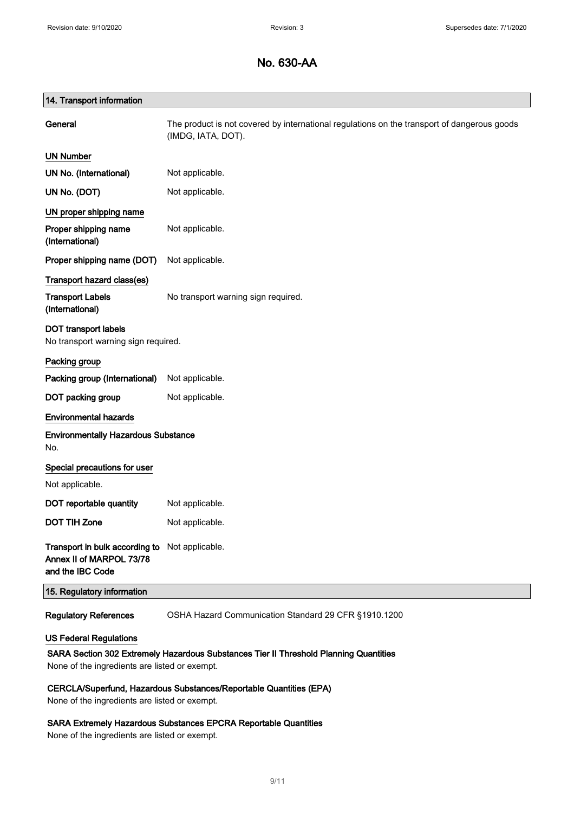| 14. Transport information                                                                                           |                                                                                                                   |
|---------------------------------------------------------------------------------------------------------------------|-------------------------------------------------------------------------------------------------------------------|
| General                                                                                                             | The product is not covered by international regulations on the transport of dangerous goods<br>(IMDG, IATA, DOT). |
| <b>UN Number</b>                                                                                                    |                                                                                                                   |
| UN No. (International)                                                                                              | Not applicable.                                                                                                   |
| UN No. (DOT)                                                                                                        | Not applicable.                                                                                                   |
| UN proper shipping name                                                                                             |                                                                                                                   |
| Proper shipping name<br>(International)                                                                             | Not applicable.                                                                                                   |
| Proper shipping name (DOT)                                                                                          | Not applicable.                                                                                                   |
| Transport hazard class(es)                                                                                          |                                                                                                                   |
| <b>Transport Labels</b><br>(International)                                                                          | No transport warning sign required.                                                                               |
| <b>DOT transport labels</b><br>No transport warning sign required.                                                  |                                                                                                                   |
| Packing group                                                                                                       |                                                                                                                   |
| Packing group (International)                                                                                       | Not applicable.                                                                                                   |
| DOT packing group                                                                                                   | Not applicable.                                                                                                   |
| <b>Environmental hazards</b>                                                                                        |                                                                                                                   |
| <b>Environmentally Hazardous Substance</b><br>No.                                                                   |                                                                                                                   |
| Special precautions for user                                                                                        |                                                                                                                   |
| Not applicable.                                                                                                     |                                                                                                                   |
| DOT reportable quantity                                                                                             | Not applicable.                                                                                                   |
| <b>DOT TIH Zone</b>                                                                                                 | Not applicable.                                                                                                   |
| Transport in bulk according to Not applicable.<br>Annex II of MARPOL 73/78<br>and the IBC Code                      |                                                                                                                   |
| 15. Regulatory information                                                                                          |                                                                                                                   |
| <b>Regulatory References</b>                                                                                        | OSHA Hazard Communication Standard 29 CFR §1910.1200                                                              |
| <b>US Federal Regulations</b>                                                                                       |                                                                                                                   |
| SARA Section 302 Extremely Hazardous Substances Tier II Threshold Planning Quantities                               |                                                                                                                   |
| None of the ingredients are listed or exempt.                                                                       |                                                                                                                   |
| CERCLA/Superfund, Hazardous Substances/Reportable Quantities (EPA)<br>None of the ingredients are listed or exempt. |                                                                                                                   |

#### SARA Extremely Hazardous Substances EPCRA Reportable Quantities

None of the ingredients are listed or exempt.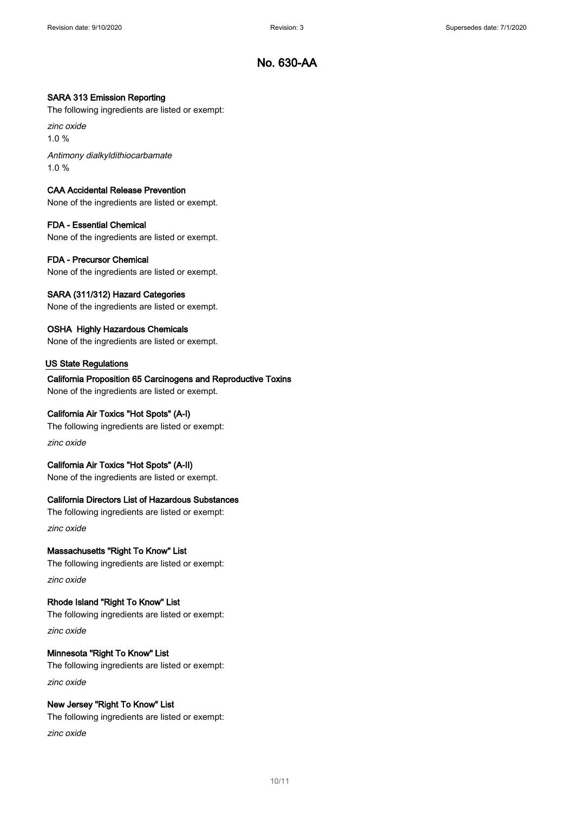#### SARA 313 Emission Reporting

The following ingredients are listed or exempt:

zinc oxide

1.0 %

Antimony dialkyldithiocarbamate 1.0 %

#### CAA Accidental Release Prevention

None of the ingredients are listed or exempt.

#### FDA - Essential Chemical

None of the ingredients are listed or exempt.

#### FDA - Precursor Chemical

None of the ingredients are listed or exempt.

#### SARA (311/312) Hazard Categories

None of the ingredients are listed or exempt.

#### OSHA Highly Hazardous Chemicals

None of the ingredients are listed or exempt.

#### US State Regulations

#### California Proposition 65 Carcinogens and Reproductive Toxins

None of the ingredients are listed or exempt.

#### California Air Toxics "Hot Spots" (A-I)

The following ingredients are listed or exempt:

zinc oxide

#### California Air Toxics "Hot Spots" (A-II)

None of the ingredients are listed or exempt.

#### California Directors List of Hazardous Substances

The following ingredients are listed or exempt: zinc oxide

#### Massachusetts "Right To Know" List

The following ingredients are listed or exempt:

zinc oxide

#### Rhode Island "Right To Know" List

The following ingredients are listed or exempt:

zinc oxide

### Minnesota "Right To Know" List

The following ingredients are listed or exempt: zinc oxide

#### New Jersey "Right To Know" List

The following ingredients are listed or exempt:

zinc oxide